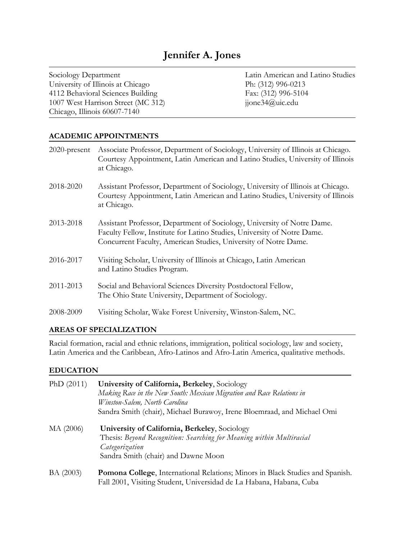University of Illinois at Chicago Ph: (312) 996-0213 4112 Behavioral Sciences Building Fax: (312) 996-5104 1007 West Harrison Street (MC 312) jjone34@uic.edu Chicago, Illinois 60607-7140

Sociology Department Latin American and Latino Studies

#### **ACADEMIC APPOINTMENTS**

| $2020$ -present | Associate Professor, Department of Sociology, University of Illinois at Chicago.<br>Courtesy Appointment, Latin American and Latino Studies, University of Illinois<br>at Chicago.                                    |
|-----------------|-----------------------------------------------------------------------------------------------------------------------------------------------------------------------------------------------------------------------|
| 2018-2020       | Assistant Professor, Department of Sociology, University of Illinois at Chicago.<br>Courtesy Appointment, Latin American and Latino Studies, University of Illinois<br>at Chicago.                                    |
| 2013-2018       | Assistant Professor, Department of Sociology, University of Notre Dame.<br>Faculty Fellow, Institute for Latino Studies, University of Notre Dame.<br>Concurrent Faculty, American Studies, University of Notre Dame. |
| 2016-2017       | Visiting Scholar, University of Illinois at Chicago, Latin American<br>and Latino Studies Program.                                                                                                                    |
| 2011-2013       | Social and Behavioral Sciences Diversity Postdoctoral Fellow,<br>The Ohio State University, Department of Sociology.                                                                                                  |
| 2008-2009       | Visiting Scholar, Wake Forest University, Winston-Salem, NC.                                                                                                                                                          |

#### **AREAS OF SPECIALIZATION**

Racial formation, racial and ethnic relations, immigration, political sociology, law and society, Latin America and the Caribbean, Afro-Latinos and Afro-Latin America, qualitative methods.

#### **EDUCATION**

| PhD $(2011)$ | University of California, Berkeley, Sociology<br>Making Race in the New South: Mexican Migration and Race Relations in<br>Winston-Salem, North Carolina<br>Sandra Smith (chair), Michael Burawoy, Irene Bloemraad, and Michael Omi |
|--------------|------------------------------------------------------------------------------------------------------------------------------------------------------------------------------------------------------------------------------------|
| MA (2006)    | University of California, Berkeley, Sociology<br>Thesis: Beyond Recognition: Searching for Meaning within Multiracial<br>Categorization<br>Sandra Smith (chair) and Dawne Moon                                                     |
| BA (2003)    | Pomona College, International Relations; Minors in Black Studies and Spanish.<br>Fall 2001, Visiting Student, Universidad de La Habana, Habana, Cuba                                                                               |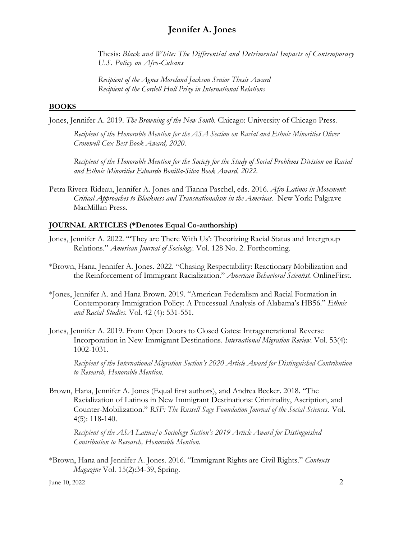Thesis: *Black and White: The Differential and Detrimental Impacts of Contemporary U.S. Policy on Afro-Cubans*

*Recipient of the Agnes Moreland Jackson Senior Thesis Award Recipient of the Cordell Hull Prize in International Relations*

#### **BOOKS**

Jones, Jennifer A. 2019. *The Browning of the New South.* Chicago: University of Chicago Press.

*Recipient of the Honorable Mention for the ASA Section on Racial and Ethnic Minorities Oliver Cromwell Cox Best Book Award, 2020.*

*Recipient of the Honorable Mention for the Society for the Study of Social Problems Division on Racial and Ethnic Minorities Eduardo Bonilla-Silva Book Award, 2022.*

Petra Rivera-Rideau, Jennifer A. Jones and Tianna Paschel, eds. 2016. *Afro-Latinos in Movement: Critical Approaches to Blackness and Transnationalism in the Americas.* New York: Palgrave MacMillan Press.

#### **JOURNAL ARTICLES (\*Denotes Equal Co-authorship)**

- Jones, Jennifer A. 2022. "'They are There With Us': Theorizing Racial Status and Intergroup Relations." *American Journal of Sociology.* Vol. 128 No. 2. Forthcoming.
- \*Brown, Hana, Jennifer A. Jones. 2022. "Chasing Respectability: Reactionary Mobilization and the Reinforcement of Immigrant Racialization." *American Behavioral Scientist.* OnlineFirst.
- \*Jones, Jennifer A. and Hana Brown. 2019. "American Federalism and Racial Formation in Contemporary Immigration Policy: A Processual Analysis of Alabama's HB56." *Ethnic and Racial Studies*. Vol. 42 (4): 531-551.
- Jones, Jennifer A. 2019. From Open Doors to Closed Gates: Intragenerational Reverse Incorporation in New Immigrant Destinations. *International Migration Review*. Vol. 53(4): 1002-1031.

*Recipient of the International Migration Section's 2020 Article Award for Distinguished Contribution to Research, Honorable Mention.* 

Brown, Hana, Jennifer A. Jones (Equal first authors), and Andrea Becker. 2018. "The Racialization of Latinos in New Immigrant Destinations: Criminality, Ascription, and Counter-Mobilization." *RSF: The Russell Sage Foundation Journal of the Social Sciences.* Vol. 4(5): 118-140.

*Recipient of the ASA Latina/o Sociology Section's 2019 Article Award for Distinguished Contribution to Research, Honorable Mention*.

\*Brown, Hana and Jennifer A. Jones. 2016. "Immigrant Rights are Civil Rights." *Contexts Magazine* Vol. 15(2):34-39, Spring.

June 10, 2022 2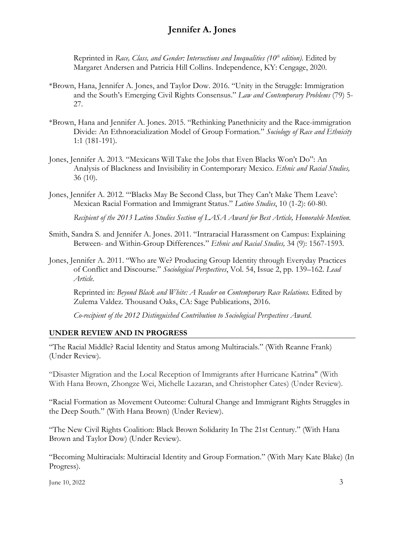Reprinted in *Race, Class, and Gender: Intersections and Inequalities (10<sup>th</sup> edition).* Edited by Margaret Andersen and Patricia Hill Collins. Independence, KY: Cengage, 2020.

- \*Brown, Hana, Jennifer A. Jones, and Taylor Dow. 2016. "Unity in the Struggle: Immigration and the South's Emerging Civil Rights Consensus." *Law and Contemporary Problems* (79) 5- 27.
- \*Brown, Hana and Jennifer A. Jones. 2015. "Rethinking Panethnicity and the Race-immigration Divide: An Ethnoracialization Model of Group Formation." *Sociology of Race and Ethnicity*  1:1 (181-191)*.*
- Jones, Jennifer A. 2013*.* "Mexicans Will Take the Jobs that Even Blacks Won't Do": An Analysis of Blackness and Invisibility in Contemporary Mexico. *Ethnic and Racial Studies,*  36 (10)*.*
- Jones, Jennifer A. 2012*.* "'Blacks May Be Second Class, but They Can't Make Them Leave': Mexican Racial Formation and Immigrant Status." *Latino Studies*, 10 (1-2): 60-80.

*Recipient of the 2013 Latino Studies Section of LASA Award for Best Article, Honorable Mention.*

- Smith, Sandra S. and Jennifer A. Jones. 2011. "Intraracial Harassment on Campus: Explaining Between- and Within-Group Differences." *Ethnic and Racial Studies,* 34 (9): 1567-1593.
- Jones, Jennifer A. 2011. "Who are We? Producing Group Identity through Everyday Practices of Conflict and Discourse." *Sociological Perspectives*, Vol. 54, Issue 2, pp. 139–162. *Lead Article.*

Reprinted in: *Beyond Black and White: A Reader on Contemporary Race Relations.* Edited by Zulema Valdez. Thousand Oaks, CA: Sage Publications, 2016.

*Co-recipient of the 2012 Distinguished Contribution to Sociological Perspectives Award*.

### **UNDER REVIEW AND IN PROGRESS**

"The Racial Middle? Racial Identity and Status among Multiracials." (With Reanne Frank) (Under Review).

"Disaster Migration and the Local Reception of Immigrants after Hurricane Katrina" (With With Hana Brown, Zhongze Wei, Michelle Lazaran, and Christopher Cates) (Under Review).

"Racial Formation as Movement Outcome: Cultural Change and Immigrant Rights Struggles in the Deep South." (With Hana Brown) (Under Review).

"The New Civil Rights Coalition: Black Brown Solidarity In The 21st Century." (With Hana Brown and Taylor Dow) (Under Review).

"Becoming Multiracials: Multiracial Identity and Group Formation." (With Mary Kate Blake) (In Progress).

June 10, 2022  $\frac{3}{3}$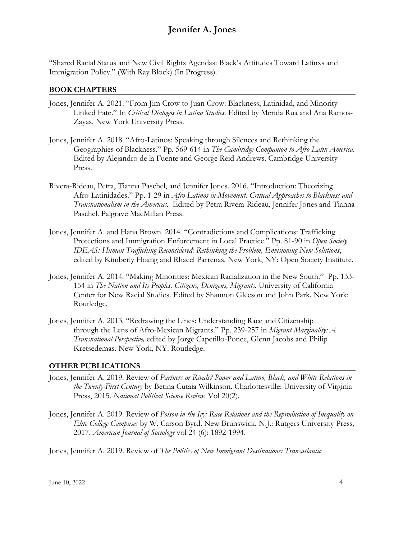"Shared Racial Status and New Civil Rights Agendas: Black's Attitudes Toward Latinxs and Immigration Policy." (With Ray Block) (In Progress).

#### **BOOK CHAPTERS**

- Jones, Jennifer A. 2021. "From Jim Crow to Juan Crow: Blackness, Latinidad, and Minority Linked Fate." In *Critical Dialogos in Latino Studies.* Edited by Merida Rua and Ana Ramos-Zayas. New York University Press.
- Jones, Jennifer A. 2018. "Afro-Latinos: Speaking through Silences and Rethinking the Geographies of Blackness." Pp. 569-614 in *The Cambridge Companion to Afro-Latin America.*  Edited by Alejandro de la Fuente and George Reid Andrews. Cambridge University Press.
- Rivera-Rideau, Petra, Tianna Paschel, and Jennifer Jones. 2016. "Introduction: Theorizing Afro-Latinidades." Pp. 1-29 in *Afro-Latinos in Movement: Critical Approaches to Blackness and Transnationalism in the Americas.* Edited by Petra Rivera-Rideau, Jennifer Jones and Tianna Paschel. Palgrave MacMillan Press.
- Jones, Jennifer A. and Hana Brown. 2014*.* "Contradictions and Complications: Trafficking Protections and Immigration Enforcement in Local Practice." Pp. 81-90 in *Open Society IDEAS: Human Trafficking Reconsidered: Rethinking the Problem, Envisioning New Solutions*, edited by Kimberly Hoang and Rhacel Parrenas. New York, NY: Open Society Institute.
- Jones, Jennifer A. 2014*.* "Making Minorities: Mexican Racialization in the New South." Pp. 133- 154 in *The Nation and Its Peoples: Citizens, Denizens, Migrants.* University of California Center for New Racial Studies. Edited by Shannon Gleeson and John Park. New York: Routledge.
- Jones, Jennifer A. 2013*.* "Redrawing the Lines: Understanding Race and Citizenship through the Lens of Afro-Mexican Migrants." Pp. 239-257 in *Migrant Marginality: A Transnational Perspective,* edited by Jorge Capetillo-Ponce, Glenn Jacobs and Philip Kretsedemas. New York, NY: Routledge.

#### **OTHER PUBLICATIONS**

- Jones, Jennifer A. 2019. Review of *Partners or Rivals? Power and Latino, Black, and White Relations in the Twenty-First Century* by Betina Cutaia Wilkinson. Charlottesville: University of Virginia Press, 2015. *National Political Science Review*. Vol 20(2).
- Jones, Jennifer A. 2019. Review of *Poison in the Ivy: Race Relations and the Reproduction of Inequality on Elite College Campuses* by W. Carson Byrd. New Brunswick, N.J.: Rutgers University Press, 2017. *American Journal of Sociology* vol 24 (6): 1892-1994.

Jones, Jennifer A. 2019. Review of *The Politics of New Immigrant Destinations: Transatlantic*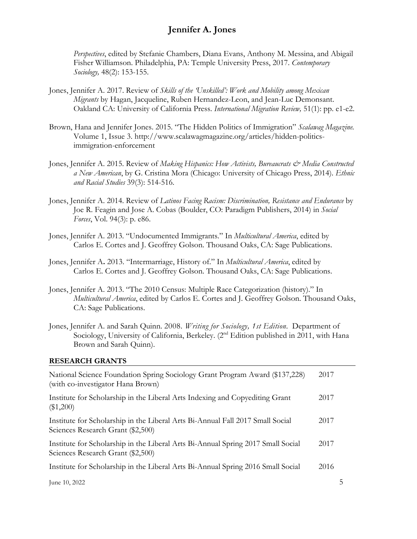*Perspectives*, edited by Stefanie Chambers, Diana Evans, Anthony M. Messina, and Abigail Fisher Williamson. Philadelphia, PA: Temple University Press, 2017. *Contemporary Sociology,* 48(2): 153-155.

- Jones, Jennifer A. 2017. Review of *Skills of the 'Unskilled': Work and Mobility among Mexican Migrants* by Hagan, Jacqueline, Ruben Hernandez-Leon, and Jean-Luc Demonsant. Oakland CA: University of California Press. *International Migration Review,* 51(1): pp. e1-e2.
- Brown, Hana and Jennifer Jones. 2015. "The Hidden Politics of Immigration" *Scalawag Magazine.*  Volume 1, Issue 3. http://www.scalawagmagazine.org/articles/hidden-politicsimmigration-enforcement
- Jones, Jennifer A. 2015. Review of *Making Hispanics: How Activists, Bureaucrats & Media Constructed a New American*, by G. Cristina Mora (Chicago: University of Chicago Press, 2014). *Ethnic and Racial Studies* 39(3): 514-516.
- Jones, Jennifer A. 2014. Review of *Latinos Facing Racism: Discrimination, Resistance and Endurance* by Joe R. Feagin and Jose A. Cobas (Boulder, CO: Paradigm Publishers, 2014) in *Social Forces*, Vol. 94(3): p. e86.
- Jones, Jennifer A. 2013. "Undocumented Immigrants." In *Multicultural America*, edited by Carlos E. Cortes and J. Geoffrey Golson. Thousand Oaks, CA: Sage Publications.
- Jones, Jennifer A**.** 2013. "Intermarriage, History of." In *Multicultural America*, edited by Carlos E. Cortes and J. Geoffrey Golson. Thousand Oaks, CA: Sage Publications.
- Jones, Jennifer A. 2013. "The 2010 Census: Multiple Race Categorization (history)." In *Multicultural America*, edited by Carlos E. Cortes and J. Geoffrey Golson. Thousand Oaks, CA: Sage Publications.
- Jones, Jennifer A. and Sarah Quinn. 2008. *Writing for Sociology, 1st Edition.* Department of Sociology, University of California, Berkeley. (2<sup>nd</sup> Edition published in 2011, with Hana Brown and Sarah Quinn).

#### **RESEARCH GRANTS**

| National Science Foundation Spring Sociology Grant Program Award (\$137,228)<br>(with co-investigator Hana Brown)     | 2017 |   |
|-----------------------------------------------------------------------------------------------------------------------|------|---|
| Institute for Scholarship in the Liberal Arts Indexing and Copyediting Grant<br>(\$1,200)                             | 2017 |   |
| Institute for Scholarship in the Liberal Arts Bi-Annual Fall 2017 Small Social<br>Sciences Research Grant (\$2,500)   | 2017 |   |
| Institute for Scholarship in the Liberal Arts Bi-Annual Spring 2017 Small Social<br>Sciences Research Grant (\$2,500) | 2017 |   |
| Institute for Scholarship in the Liberal Arts Bi-Annual Spring 2016 Small Social                                      | 2016 |   |
| June 10, 2022                                                                                                         |      | ᡃ |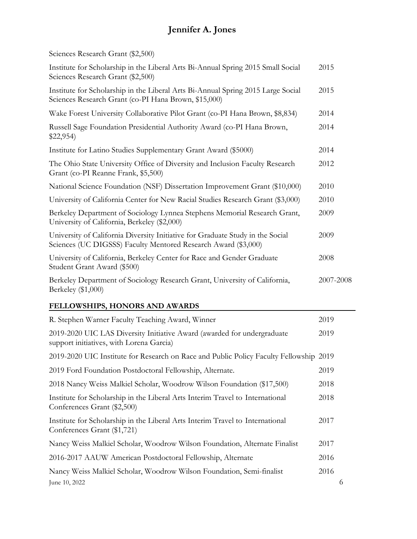|  | Sciences Research Grant (\$2,500) |
|--|-----------------------------------|
|--|-----------------------------------|

| Institute for Scholarship in the Liberal Arts Bi-Annual Spring 2015 Small Social<br>Sciences Research Grant (\$2,500)                            | 2015      |
|--------------------------------------------------------------------------------------------------------------------------------------------------|-----------|
| Institute for Scholarship in the Liberal Arts Bi-Annual Spring 2015 Large Social<br>Sciences Research Grant (co-PI Hana Brown, \$15,000)         | 2015      |
| Wake Forest University Collaborative Pilot Grant (co-PI Hana Brown, \$8,834)                                                                     | 2014      |
| Russell Sage Foundation Presidential Authority Award (co-PI Hana Brown,<br>\$22,954                                                              | 2014      |
| Institute for Latino Studies Supplementary Grant Award (\$5000)                                                                                  | 2014      |
| The Ohio State University Office of Diversity and Inclusion Faculty Research<br>Grant (co-PI Reanne Frank, \$5,500)                              | 2012      |
| National Science Foundation (NSF) Dissertation Improvement Grant (\$10,000)                                                                      | 2010      |
| University of California Center for New Racial Studies Research Grant (\$3,000)                                                                  | 2010      |
| Berkeley Department of Sociology Lynnea Stephens Memorial Research Grant,<br>University of California, Berkeley (\$2,000)                        | 2009      |
| University of California Diversity Initiative for Graduate Study in the Social<br>Sciences (UC DIGSSS) Faculty Mentored Research Award (\$3,000) | 2009      |
| University of California, Berkeley Center for Race and Gender Graduate<br>Student Grant Award (\$500)                                            | 2008      |
| Berkeley Department of Sociology Research Grant, University of California,<br>Berkeley (\$1,000)                                                 | 2007-2008 |

## **FELLOWSHIPS, HONORS AND AWARDS**

| R. Stephen Warner Faculty Teaching Award, Winner                                                                    | 2019 |   |
|---------------------------------------------------------------------------------------------------------------------|------|---|
| 2019-2020 UIC LAS Diversity Initiative Award (awarded for undergraduate<br>support initiatives, with Lorena Garcia) | 2019 |   |
| 2019-2020 UIC Institute for Research on Race and Public Policy Faculty Fellowship 2019                              |      |   |
| 2019 Ford Foundation Postdoctoral Fellowship, Alternate.                                                            | 2019 |   |
| 2018 Nancy Weiss Malkiel Scholar, Woodrow Wilson Foundation (\$17,500)                                              | 2018 |   |
| Institute for Scholarship in the Liberal Arts Interim Travel to International<br>Conferences Grant (\$2,500)        | 2018 |   |
| Institute for Scholarship in the Liberal Arts Interim Travel to International<br>Conferences Grant (\$1,721)        | 2017 |   |
| Nancy Weiss Malkiel Scholar, Woodrow Wilson Foundation, Alternate Finalist                                          | 2017 |   |
| 2016-2017 AAUW American Postdoctoral Fellowship, Alternate                                                          | 2016 |   |
| Nancy Weiss Malkiel Scholar, Woodrow Wilson Foundation, Semi-finalist                                               | 2016 |   |
| June 10, 2022                                                                                                       |      | 6 |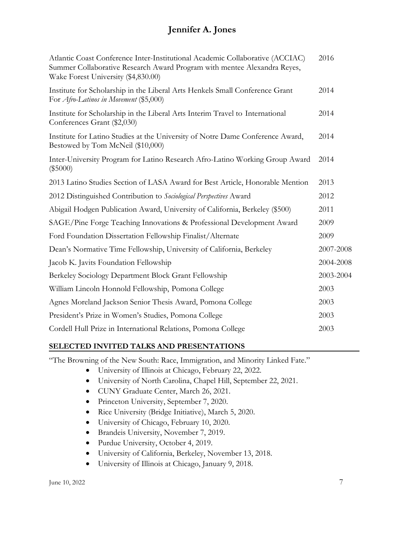| Atlantic Coast Conference Inter-Institutional Academic Collaborative (ACCIAC)<br>Summer Collaborative Research Award Program with mentee Alexandra Reyes,<br>Wake Forest University (\$4,830.00) | 2016      |
|--------------------------------------------------------------------------------------------------------------------------------------------------------------------------------------------------|-----------|
| Institute for Scholarship in the Liberal Arts Henkels Small Conference Grant<br>For <i>Afro-Latinos in Movement</i> (\$5,000)                                                                    | 2014      |
| Institute for Scholarship in the Liberal Arts Interim Travel to International<br>Conferences Grant (\$2,030)                                                                                     | 2014      |
| Institute for Latino Studies at the University of Notre Dame Conference Award,<br>Bestowed by Tom McNeil (\$10,000)                                                                              | 2014      |
| Inter-University Program for Latino Research Afro-Latino Working Group Award<br>$(\$5000)$                                                                                                       | 2014      |
| 2013 Latino Studies Section of LASA Award for Best Article, Honorable Mention                                                                                                                    | 2013      |
| 2012 Distinguished Contribution to Sociological Perspectives Award                                                                                                                               | 2012      |
| Abigail Hodgen Publication Award, University of California, Berkeley (\$500)                                                                                                                     | 2011      |
| SAGE/Pine Forge Teaching Innovations & Professional Development Award                                                                                                                            | 2009      |
| Ford Foundation Dissertation Fellowship Finalist/Alternate                                                                                                                                       | 2009      |
| Dean's Normative Time Fellowship, University of California, Berkeley                                                                                                                             | 2007-2008 |
| Jacob K. Javits Foundation Fellowship                                                                                                                                                            | 2004-2008 |
| Berkeley Sociology Department Block Grant Fellowship                                                                                                                                             | 2003-2004 |
| William Lincoln Honnold Fellowship, Pomona College                                                                                                                                               | 2003      |
| Agnes Moreland Jackson Senior Thesis Award, Pomona College                                                                                                                                       | 2003      |
| President's Prize in Women's Studies, Pomona College                                                                                                                                             | 2003      |
| Cordell Hull Prize in International Relations, Pomona College                                                                                                                                    | 2003      |
|                                                                                                                                                                                                  |           |

### **SELECTED INVITED TALKS AND PRESENTATIONS**

"The Browning of the New South: Race, Immigration, and Minority Linked Fate."

- University of Illinois at Chicago, February 22, 2022.
- University of North Carolina, Chapel Hill, September 22, 2021.
- CUNY Graduate Center, March 26, 2021.
- Princeton University, September 7, 2020.
- Rice University (Bridge Initiative), March 5, 2020.
- University of Chicago, February 10, 2020.
- Brandeis University, November 7, 2019.
- Purdue University, October 4, 2019.
- University of California, Berkeley, November 13, 2018.
- University of Illinois at Chicago, January 9, 2018.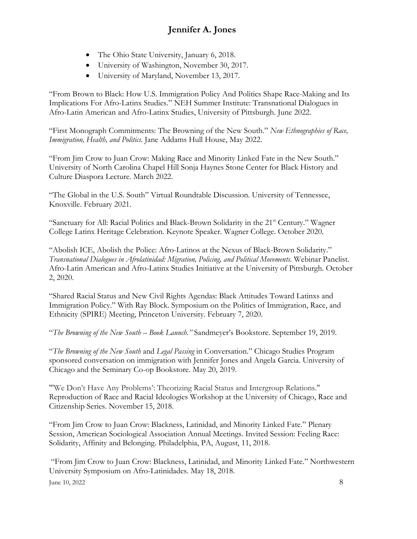- The Ohio State University, January 6, 2018.
- University of Washington, November 30, 2017.
- University of Maryland, November 13, 2017.

"From Brown to Black: How U.S. Immigration Policy And Politics Shape Race-Making and Its Implications For Afro-Latinx Studies." NEH Summer Institute: Transnational Dialogues in Afro-Latin American and Afro-Latinx Studies, University of Pittsburgh. June 2022.

"First Monograph Commitments: The Browning of the New South." *New Ethnographies of Race, Immigration, Health, and Politics.* Jane Addams Hull House, May 2022.

"From Jim Crow to Juan Crow: Making Race and Minority Linked Fate in the New South." University of North Carolina Chapel Hill Sonja Haynes Stone Center for Black History and Culture Diaspora Lecture. March 2022.

"The Global in the U.S. South" Virtual Roundtable Discussion. University of Tennessee, Knoxville. February 2021.

"Sanctuary for All: Racial Politics and Black-Brown Solidarity in the  $21<sup>st</sup>$  Century." Wagner College Latinx Heritage Celebration. Keynote Speaker. Wagner College. October 2020.

"Abolish ICE, Abolish the Police: Afro-Latinos at the Nexus of Black-Brown Solidarity." *Transnational Dialogues in Afrolatinidad: Migration, Policing, and Political Movements.* Webinar Panelist. Afro-Latin American and Afro-Latinx Studies Initiative at the University of Pittsburgh. October 2, 2020.

"Shared Racial Status and New Civil Rights Agendas: Black Attitudes Toward Latinxs and Immigration Policy." With Ray Block. Symposium on the Politics of Immigration, Race, and Ethnicity (SPIRE) Meeting, Princeton University. February 7, 2020.

"*The Browning of the New South – Book Launch."* Sandmeyer's Bookstore. September 19, 2019.

"*The Browning of the New South* and *Legal Passing* in Conversation." Chicago Studies Program sponsored conversation on immigration with Jennifer Jones and Angela Garcia. University of Chicago and the Seminary Co-op Bookstore. May 20, 2019.

"'We Don't Have Any Problems': Theorizing Racial Status and Intergroup Relations." Reproduction of Race and Racial Ideologies Workshop at the University of Chicago, Race and Citizenship Series. November 15, 2018.

"From Jim Crow to Juan Crow: Blackness, Latinidad, and Minority Linked Fate." Plenary Session, American Sociological Association Annual Meetings. Invited Session: Feeling Race: Solidarity, Affinity and Belonging. Philadelphia, PA, August, 11, 2018.

 $\mu$  June 10, 2022 8 "From Jim Crow to Juan Crow: Blackness, Latinidad, and Minority Linked Fate." Northwestern University Symposium on Afro-Latinidades. May 18, 2018.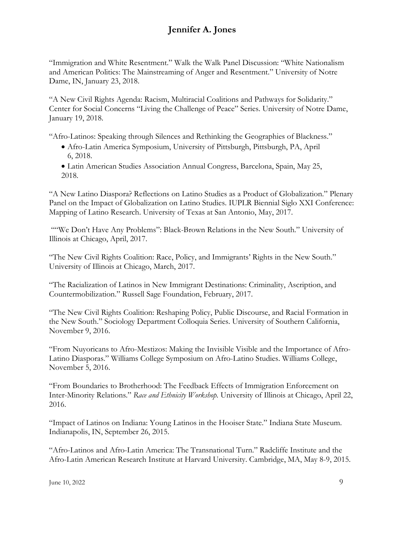"Immigration and White Resentment." Walk the Walk Panel Discussion: "White Nationalism and American Politics: The Mainstreaming of Anger and Resentment." University of Notre Dame, IN, January 23, 2018.

"A New Civil Rights Agenda: Racism, Multiracial Coalitions and Pathways for Solidarity." Center for Social Concerns "Living the Challenge of Peace" Series. University of Notre Dame, January 19, 2018.

"Afro-Latinos: Speaking through Silences and Rethinking the Geographies of Blackness."

- Afro-Latin America Symposium, University of Pittsburgh, Pittsburgh, PA, April 6, 2018.
- Latin American Studies Association Annual Congress, Barcelona, Spain, May 25, 2018.

"A New Latino Diaspora? Reflections on Latino Studies as a Product of Globalization." Plenary Panel on the Impact of Globalization on Latino Studies. IUPLR Biennial Siglo XXI Conference: Mapping of Latino Research. University of Texas at San Antonio, May, 2017.

""We Don't Have Any Problems": Black-Brown Relations in the New South." University of Illinois at Chicago, April, 2017.

"The New Civil Rights Coalition: Race, Policy, and Immigrants' Rights in the New South." University of Illinois at Chicago, March, 2017.

"The Racialization of Latinos in New Immigrant Destinations: Criminality, Ascription, and Countermobilization." Russell Sage Foundation, February, 2017.

"The New Civil Rights Coalition: Reshaping Policy, Public Discourse, and Racial Formation in the New South." Sociology Department Colloquia Series. University of Southern California, November 9, 2016.

"From Nuyoricans to Afro-Mestizos: Making the Invisible Visible and the Importance of Afro-Latino Diasporas." Williams College Symposium on Afro-Latino Studies. Williams College, November 5, 2016.

"From Boundaries to Brotherhood: The Feedback Effects of Immigration Enforcement on Inter-Minority Relations." *Race and Ethnicity Workshop.* University of Illinois at Chicago, April 22, 2016.

"Impact of Latinos on Indiana: Young Latinos in the Hooiser State." Indiana State Museum. Indianapolis, IN, September 26, 2015.

"Afro-Latinos and Afro-Latin America: The Transnational Turn." Radcliffe Institute and the Afro-Latin American Research Institute at Harvard University. Cambridge, MA, May 8-9, 2015.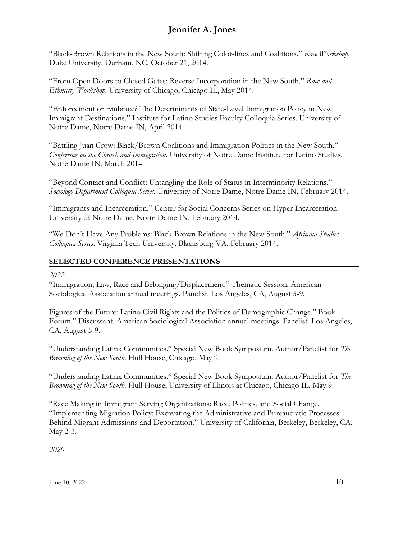"Black-Brown Relations in the New South: Shifting Color-lines and Coalitions." *Race Workshop*. Duke University, Durham, NC. October 21, 2014.

"From Open Doors to Closed Gates: Reverse Incorporation in the New South." *Race and Ethnicity Workshop.* University of Chicago, Chicago IL, May 2014.

"Enforcement or Embrace? The Determinants of State-Level Immigration Policy in New Immigrant Destinations." Institute for Latino Studies Faculty Colloquia Series. University of Notre Dame, Notre Dame IN, April 2014.

"Battling Juan Crow: Black/Brown Coalitions and Immigration Politics in the New South." *Conference on the Church and Immigration*. University of Notre Dame Institute for Latino Studies, Notre Dame IN, March 2014.

"Beyond Contact and Conflict: Untangling the Role of Status in Interminority Relations." *Sociology Department Colloquia Series.* University of Notre Dame, Notre Dame IN, February 2014.

"Immigrants and Incarceration." Center for Social Concerns Series on Hyper-Incarceration. University of Notre Dame, Notre Dame IN. February 2014.

"We Don't Have Any Problems: Black-Brown Relations in the New South." *Africana Studies Colloquia Series*. Virginia Tech University, Blacksburg VA, February 2014.

### **SELECTED CONFERENCE PRESENTATIONS**

### *2022*

"Immigration, Law, Race and Belonging/Displacement." Thematic Session. American Sociological Association annual meetings. Panelist. Los Angeles, CA, August 5-9.

Figures of the Future: Latino Civil Rights and the Politics of Demographic Change." Book Forum." Discussant. American Sociological Association annual meetings. Panelist. Los Angeles, CA, August 5-9.

"Understanding Latinx Communities." Special New Book Symposium. Author/Panelist for *The Browning of the New South.* Hull House, Chicago, May 9.

"Understanding Latinx Communities." Special New Book Symposium. Author/Panelist for *The Browning of the New South.* Hull House, University of Illinois at Chicago, Chicago IL, May 9.

"Race Making in Immigrant Serving Organizations: Race, Politics, and Social Change. "Implementing Migration Policy: Excavating the Administrative and Bureaucratic Processes Behind Migrant Admissions and Deportation." University of California, Berkeley, Berkeley, CA, May 2-3.

*2020*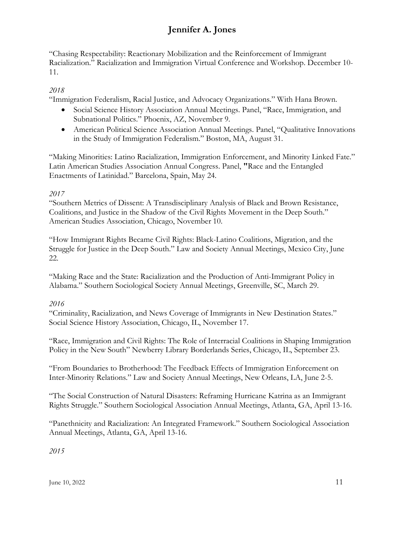"Chasing Respectability: Reactionary Mobilization and the Reinforcement of Immigrant Racialization." Racialization and Immigration Virtual Conference and Workshop. December 10- 11.

## *2018*

"Immigration Federalism, Racial Justice, and Advocacy Organizations." With Hana Brown.

- Social Science History Association Annual Meetings. Panel, "Race, Immigration, and Subnational Politics." Phoenix, AZ, November 9.
- American Political Science Association Annual Meetings. Panel, "Oualitative Innovations" in the Study of Immigration Federalism." Boston, MA, August 31.

"Making Minorities: Latino Racialization, Immigration Enforcement, and Minority Linked Fate." Latin American Studies Association Annual Congress. Panel, **"**Race and the Entangled Enactments of Latinidad." Barcelona, Spain, May 24.

## *2017*

"Southern Metrics of Dissent: A Transdisciplinary Analysis of Black and Brown Resistance, Coalitions, and Justice in the Shadow of the Civil Rights Movement in the Deep South." American Studies Association, Chicago, November 10.

"How Immigrant Rights Became Civil Rights: Black-Latino Coalitions, Migration, and the Struggle for Justice in the Deep South." Law and Society Annual Meetings, Mexico City, June 22.

"Making Race and the State: Racialization and the Production of Anti-Immigrant Policy in Alabama." Southern Sociological Society Annual Meetings, Greenville, SC, March 29.

## *2016*

"Criminality, Racialization, and News Coverage of Immigrants in New Destination States." Social Science History Association, Chicago, IL, November 17.

"Race, Immigration and Civil Rights: The Role of Interracial Coalitions in Shaping Immigration Policy in the New South" Newberry Library Borderlands Series, Chicago, IL, September 23.

"From Boundaries to Brotherhood: The Feedback Effects of Immigration Enforcement on Inter-Minority Relations." Law and Society Annual Meetings, New Orleans, LA, June 2-5.

"The Social Construction of Natural Disasters: Reframing Hurricane Katrina as an Immigrant Rights Struggle." Southern Sociological Association Annual Meetings, Atlanta, GA, April 13-16.

"Panethnicity and Racialization: An Integrated Framework." Southern Sociological Association Annual Meetings, Atlanta, GA, April 13-16.

*2015*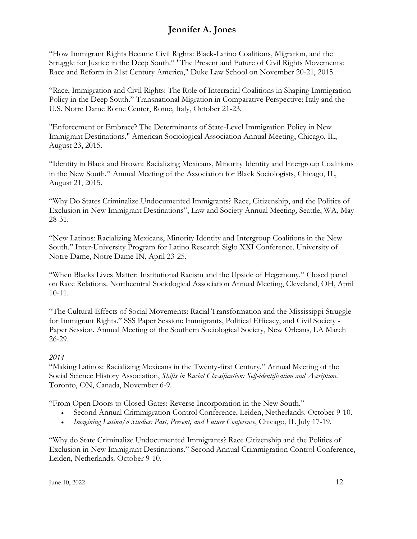"How Immigrant Rights Became Civil Rights: Black-Latino Coalitions, Migration, and the Struggle for Justice in the Deep South." "The Present and Future of Civil Rights Movements: Race and Reform in 21st Century America," Duke Law School on November 20-21, 2015.

"Race, Immigration and Civil Rights: The Role of Interracial Coalitions in Shaping Immigration Policy in the Deep South." Transnational Migration in Comparative Perspective: Italy and the U.S. Notre Dame Rome Center, Rome, Italy, October 21-23.

"Enforcement or Embrace? The Determinants of State-Level Immigration Policy in New Immigrant Destinations," American Sociological Association Annual Meeting, Chicago, IL, August 23, 2015.

"Identity in Black and Brown: Racializing Mexicans, Minority Identity and Intergroup Coalitions in the New South*.*" Annual Meeting of the Association for Black Sociologists, Chicago, IL, August 21, 2015.

"Why Do States Criminalize Undocumented Immigrants? Race, Citizenship, and the Politics of Exclusion in New Immigrant Destinations", Law and Society Annual Meeting, Seattle, WA, May 28-31.

"New Latinos: Racializing Mexicans, Minority Identity and Intergroup Coalitions in the New South." Inter-University Program for Latino Research Siglo XXI Conference. University of Notre Dame, Notre Dame IN, April 23-25.

"When Blacks Lives Matter: Institutional Racism and the Upside of Hegemony." Closed panel on Race Relations. Northcentral Sociological Association Annual Meeting, Cleveland, OH, April 10-11.

"The Cultural Effects of Social Movements: Racial Transformation and the Mississippi Struggle for Immigrant Rights." SSS Paper Session: Immigrants, Political Efficacy, and Civil Society - Paper Session. Annual Meeting of the Southern Sociological Society, New Orleans, LA March 26-29.

### *2014*

"Making Latinos: Racializing Mexicans in the Twenty-first Century." Annual Meeting of the Social Science History Association, *Shifts in Racial Classification: Self-identification and Ascription*. Toronto, ON, Canada, November 6-9.

"From Open Doors to Closed Gates: Reverse Incorporation in the New South."

- Second Annual Crimmigration Control Conference, Leiden, Netherlands. October 9-10.
- *Imagining Latina/o Studies: Past, Present, and Future Conference*, Chicago, IL July 17-19.

"Why do State Criminalize Undocumented Immigrants? Race Citizenship and the Politics of Exclusion in New Immigrant Destinations." Second Annual Crimmigration Control Conference, Leiden, Netherlands. October 9-10.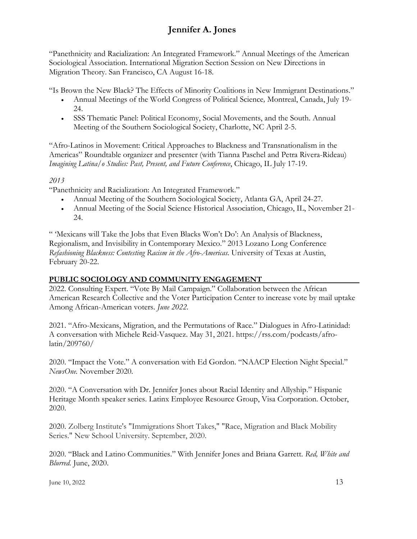"Panethnicity and Racialization: An Integrated Framework." Annual Meetings of the American Sociological Association. International Migration Section Session on New Directions in Migration Theory. San Francisco, CA August 16-18.

"Is Brown the New Black? The Effects of Minority Coalitions in New Immigrant Destinations."

- Annual Meetings of the World Congress of Political Science*,* Montreal, Canada, July 19- 24.
- SSS Thematic Panel: Political Economy, Social Movements, and the South. Annual Meeting of the Southern Sociological Society, Charlotte, NC April 2-5.

"Afro-Latinos in Movement: Critical Approaches to Blackness and Transnationalism in the Americas" Roundtable organizer and presenter (with Tianna Paschel and Petra Rivera-Rideau) *Imagining Latina/o Studies: Past, Present, and Future Conference*, Chicago, IL July 17-19.

### *2013*

"Panethnicity and Racialization: An Integrated Framework."

- Annual Meeting of the Southern Sociological Society, Atlanta GA, April 24-27.
- Annual Meeting of the Social Science Historical Association, Chicago, IL, November 21- 24.

" 'Mexicans will Take the Jobs that Even Blacks Won't Do': An Analysis of Blackness, Regionalism, and Invisibility in Contemporary Mexico." 2013 Lozano Long Conference *Refashioning Blackness: Contesting Racism in the Afro-Americas*. University of Texas at Austin, February 20-22.

### **PUBLIC SOCIOLOGY AND COMMUNITY ENGAGEMENT**

2022. Consulting Expert. "Vote By Mail Campaign." Collaboration between the African American Research Collective and the Voter Participation Center to increase vote by mail uptake Among African-American voters. *June 2022.*

2021. "Afro-Mexicans, Migration, and the Permutations of Race." Dialogues in Afro-Latinidad: A conversation with Michele Reid-Vasquez. May 31, 2021. https://rss.com/podcasts/afrolatin/209760/

2020. "Impact the Vote." A conversation with Ed Gordon. "NAACP Election Night Special." *NewsOne.* November 2020.

2020. "A Conversation with Dr. Jennifer Jones about Racial Identity and Allyship." Hispanic Heritage Month speaker series. Latinx Employee Resource Group, Visa Corporation. October, 2020.

2020. Zolberg Institute's "Immigrations Short Takes," "Race, Migration and Black Mobility Series." New School University. September, 2020.

2020. "Black and Latino Communities." With Jennifer Jones and Briana Garrett. *Red, White and Blurred.* June, 2020.

June 10, 2022 13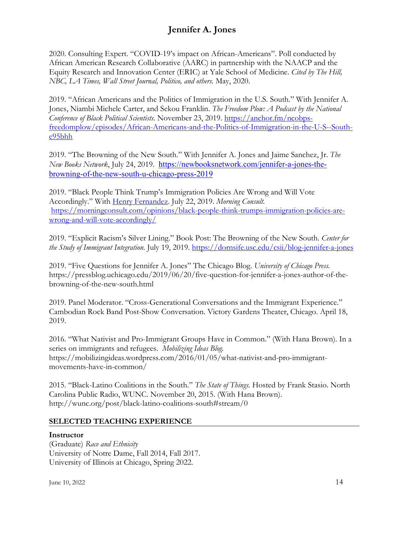2020. Consulting Expert. "COVID-19's impact on African-Americans". Poll conducted by African American Research Collaborative (AARC) in partnership with the NAACP and the Equity Research and Innovation Center (ERIC) at Yale School of Medicine. *Cited by The Hill, NBC, LA Times, Wall Street Journal, Politico, and others.* May, 2020.

2019. "African Americans and the Politics of Immigration in the U.S. South." With Jennifer A. Jones, Niambi Michele Carter, and Sekou Franklin. *The Freedom Plow: A Podcast by the National Conference of Black Political Scientists.* November 23, 2019. [https://anchor.fm/ncobps](https://anchor.fm/ncobps-freedomplow/episodes/African-Americans-and-the-Politics-of-Immigration-in-the-U-S--South-e95bhh)[freedomplow/episodes/African-Americans-and-the-Politics-of-Immigration-in-the-U-S--South](https://anchor.fm/ncobps-freedomplow/episodes/African-Americans-and-the-Politics-of-Immigration-in-the-U-S--South-e95bhh)[e95bhh](https://anchor.fm/ncobps-freedomplow/episodes/African-Americans-and-the-Politics-of-Immigration-in-the-U-S--South-e95bhh)

2019. "The Browning of the New South." With Jennifer A. Jones and Jaime Sanchez, Jr. *The New Books Network*, July 24, 2019. [https://newbooksnetwork.com/jennifer-a-jones-the](https://newbooksnetwork.com/jennifer-a-jones-the-browning-of-the-new-south-u-chicago-press-2019)[browning-of-the-new-south-u-chicago-press-2019](https://newbooksnetwork.com/jennifer-a-jones-the-browning-of-the-new-south-u-chicago-press-2019)

2019. "Black People Think Trump's Immigration Policies Are Wrong and Will Vote Accordingly." With [Henry Fernandez.](https://morningconsult.com/author/) July 22, 2019. *Morning Consult.* [https://morningconsult.com/opinions/black-people-think-trumps-immigration-policies-are](https://morningconsult.com/opinions/black-people-think-trumps-immigration-policies-are-wrong-and-will-vote-accordingly/)[wrong-and-will-vote-accordingly/](https://morningconsult.com/opinions/black-people-think-trumps-immigration-policies-are-wrong-and-will-vote-accordingly/)

2019. "Explicit Racism's Silver Lining." Book Post: The Browning of the New South. *Center for the Study of Immigrant Integration.* July 19, 2019.<https://dornsife.usc.edu/csii/blog-jennifer-a-jones>

2019. "Five Questions for Jennifer A. Jones" The Chicago Blog. *University of Chicago Press.*  https://pressblog.uchicago.edu/2019/06/20/five-question-for-jennifer-a-jones-author-of-thebrowning-of-the-new-south.html

2019. Panel Moderator. "Cross-Generational Conversations and the Immigrant Experience." Cambodian Rock Band Post-Show Conversation. Victory Gardens Theater, Chicago. April 18, 2019.

2016. "What Nativist and Pro-Immigrant Groups Have in Common." (With Hana Brown). In a series on immigrants and refugees. *Mobilizing Ideas Blog.* https://mobilizingideas.wordpress.com/2016/01/05/what-nativist-and-pro-immigrantmovements-have-in-common/

2015. "Black-Latino Coalitions in the South." *The State of Things.* Hosted by Frank Stasio. North Carolina Public Radio, WUNC. November 20, 2015. (With Hana Brown). http://wunc.org/post/black-latino-coalitions-south#stream/0

### **SELECTED TEACHING EXPERIENCE**

#### **Instructor**

(Graduate) *Race and Ethnicity* University of Notre Dame, Fall 2014, Fall 2017. University of Illinois at Chicago, Spring 2022.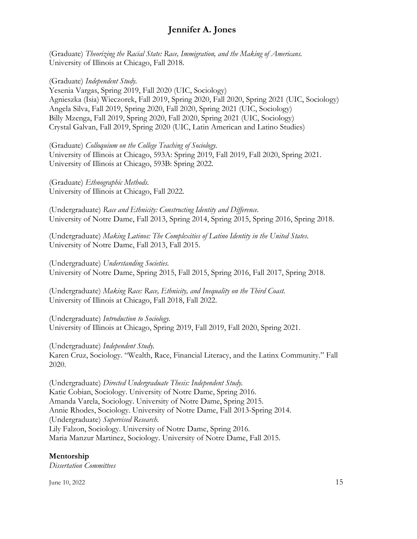(Graduate) *Theorizing the Racial State: Race, Immigration, and the Making of Americans.* University of Illinois at Chicago, Fall 2018.

(Graduate) *Independent Study.*

Yesenia Vargas, Spring 2019, Fall 2020 (UIC, Sociology) Agnieszka (Isia) Wieczorek, Fall 2019, Spring 2020, Fall 2020, Spring 2021 (UIC, Sociology) Angela Silva, Fall 2019, Spring 2020, Fall 2020, Spring 2021 (UIC, Sociology) Billy Mzenga, Fall 2019, Spring 2020, Fall 2020, Spring 2021 (UIC, Sociology) Crystal Galvan, Fall 2019, Spring 2020 (UIC, Latin American and Latino Studies)

(Graduate) *Colloquium on the College Teaching of Sociology.* University of Illinois at Chicago, 593A: Spring 2019, Fall 2019, Fall 2020, Spring 2021. University of Illinois at Chicago, 593B: Spring 2022.

(Graduate) *Ethnographic Methods.* University of Illinois at Chicago, Fall 2022.

(Undergraduate) *Race and Ethnicity: Constructing Identity and Difference.*  University of Notre Dame, Fall 2013, Spring 2014, Spring 2015, Spring 2016, Spring 2018.

(Undergraduate) *Making Latinos: The Complexities of Latino Identity in the United States*. University of Notre Dame, Fall 2013, Fall 2015.

(Undergraduate) *Understanding Societies.* University of Notre Dame, Spring 2015, Fall 2015, Spring 2016, Fall 2017, Spring 2018.

(Undergraduate) *Making Race: Race, Ethnicity, and Inequality on the Third Coast.* University of Illinois at Chicago, Fall 2018, Fall 2022.

(Undergraduate) *Introduction to Sociology.* University of Illinois at Chicago, Spring 2019, Fall 2019, Fall 2020, Spring 2021.

(Undergraduate) *Independent Study.*

Karen Cruz, Sociology. "Wealth, Race, Financial Literacy, and the Latinx Community." Fall 2020.

(Undergraduate) *Directed Undergraduate Thesis: Independent Study.* Katie Cobian, Sociology. University of Notre Dame, Spring 2016. Amanda Varela, Sociology. University of Notre Dame, Spring 2015. Annie Rhodes, Sociology. University of Notre Dame, Fall 2013-Spring 2014. (Undergraduate) *Supervised Research.* Lily Falzon, Sociology. University of Notre Dame, Spring 2016. Maria Manzur Martinez, Sociology. University of Notre Dame, Fall 2015.

### **Mentorship**

*Dissertation Committees*

 $\mu$  June 10, 2022 15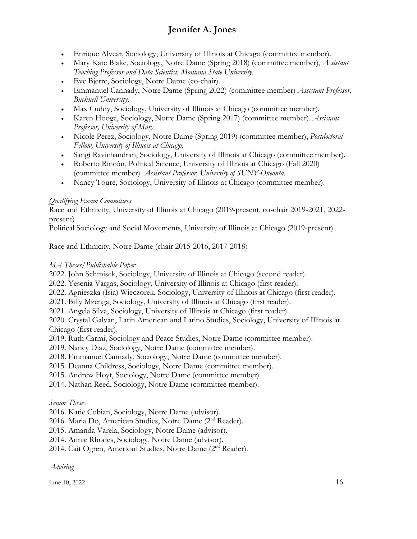- Enrique Alvear, Sociology, University of Illinois at Chicago (committee member).
- Mary Kate Blake, Sociology, Notre Dame (Spring 2018) (committee member), *Assistant Teaching Professor and Data Scientist, Montana State University.*
- Eve Bjerre, Sociology, Notre Dame (co-chair).
- Emmanuel Cannady, Notre Dame (Spring 2022) (committee member) *Assistant Professor, Bucknell University*.
- Max Cuddy, Sociology, University of Illinois at Chicago (committee member).
- Karen Hooge, Sociology, Notre Dame (Spring 2017) (committee member). *Assistant Professor, University of Mary.*
- Nicole Perez, Sociology, Notre Dame (Spring 2019) (committee member), *Postdoctoral Fellow, University of Illinois at Chicago.*
- Sangi Ravichandran, Sociology, University of Illinois at Chicago (committee member).
- Roberto Rincón, Political Science, University of Illinois at Chicago (Fall 2020) (committee member). *Assistant Professor, University of SUNY-Oneonta.*
- Nancy Toure, Sociology, University of Illinois at Chicago (committee member).

## *Qualifying Exam Committees*

Race and Ethnicity, University of Illinois at Chicago (2019-present, co-chair 2019-2021, 2022 present)

Political Sociology and Social Movements, University of Illinois at Chicago (2019-present)

Race and Ethnicity, Notre Dame (chair 2015-2016, 2017-2018)

## *MA Theses/Publishable Paper*

2022. John Schmisek, Sociology, University of Illinois at Chicago (second reader).

2022. Yesenia Vargas, Sociology, University of Illinois at Chicago (first reader).

2022. Agnieszka (Isia) Wieczorek, Sociology, University of Illinois at Chicago (first reader).

2021. Billy Mzenga, Sociology, University of Illinois at Chicago (first reader).

2021. Angela Silva, Sociology, University of Illinois at Chicago (first reader).

2020. Crystal Galvan, Latin American and Latino Studies, Sociology, University of Illinois at Chicago (first reader).

2019. Ruth Carmi, Sociology and Peace Studies, Notre Dame (committee member).

2019. Nancy Diaz, Sociology, Notre Dame (committee member).

2018. Emmanuel Cannady, Sociology, Notre Dame (committee member).

2015. Deanna Childress, Sociology, Notre Dame (committee member).

2015. Andrew Hoyt, Sociology, Notre Dame (committee member).

2014. Nathan Reed, Sociology, Notre Dame (committee member).

### *Senior Theses*

2016. Katie Cobian, Sociology, Notre Dame (advisor).

2016. Maria Do, American Studies, Notre Dame (2nd Reader).

2015. Amanda Varela, Sociology, Notre Dame (advisor).

2014. Annie Rhodes, Sociology, Notre Dame (advisor).

2014. Cait Ogren, American Studies, Notre Dame (2nd Reader).

*Advising*

June 10, 2022  $16$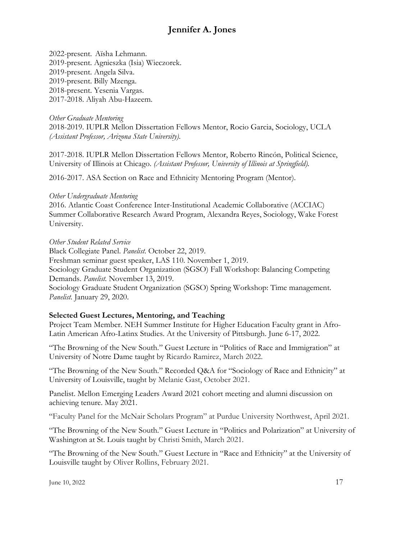2022-present. Aïsha Lehmann. 2019-present. Agnieszka (Isia) Wieczorek. 2019-present. Angela Silva. 2019-present. Billy Mzenga. 2018-present. Yesenia Vargas. 2017-2018. Aliyah Abu-Hazeem.

### *Other Graduate Mentoring*

2018-2019. IUPLR Mellon Dissertation Fellows Mentor, Rocio Garcia, Sociology, UCLA *(Assistant Professor, Arizona State University)*.

2017-2018. IUPLR Mellon Dissertation Fellows Mentor, Roberto Rincón, Political Science, University of Illinois at Chicago. *(Assistant Professor, University of Illinois at Springfield).*

2016-2017. ASA Section on Race and Ethnicity Mentoring Program (Mentor).

#### *Other Undergraduate Mentoring*

2016. Atlantic Coast Conference Inter-Institutional Academic Collaborative (ACCIAC) Summer Collaborative Research Award Program, Alexandra Reyes, Sociology, Wake Forest University.

#### *Other Student Related Service*

Black Collegiate Panel. *Panelist.* October 22, 2019.

Freshman seminar guest speaker, LAS 110. November 1, 2019.

Sociology Graduate Student Organization (SGSO) Fall Workshop: Balancing Competing Demands. *Panelist.* November 13, 2019.

Sociology Graduate Student Organization (SGSO) Spring Workshop: Time management. *Panelist.* January 29, 2020.

### **Selected Guest Lectures, Mentoring, and Teaching**

Project Team Member. NEH Summer Institute for Higher Education Faculty grant in Afro-Latin American Afro-Latinx Studies. At the University of Pittsburgh. June 6-17, 2022.

"The Browning of the New South." Guest Lecture in "Politics of Race and Immigration" at University of Notre Dame taught by Ricardo Ramirez, March 2022.

"The Browning of the New South." Recorded Q&A for "Sociology of Race and Ethnicity" at University of Louisville, taught by Melanie Gast, October 2021.

Panelist. Mellon Emerging Leaders Award 2021 cohort meeting and alumni discussion on achieving tenure. May 2021.

"Faculty Panel for the McNair Scholars Program" at Purdue University Northwest, April 2021.

"The Browning of the New South." Guest Lecture in "Politics and Polarization" at University of Washington at St. Louis taught by Christi Smith, March 2021.

"The Browning of the New South." Guest Lecture in "Race and Ethnicity" at the University of Louisville taught by Oliver Rollins, February 2021.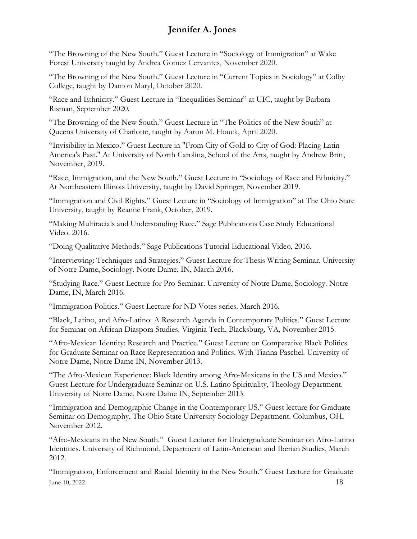"The Browning of the New South." Guest Lecture in "Sociology of Immigration" at Wake Forest University taught by Andrea Gomez Cervantes, November 2020.

"The Browning of the New South." Guest Lecture in "Current Topics in Sociology" at Colby College, taught by Damon Maryl, October 2020.

"Race and Ethnicity." Guest Lecture in "Inequalities Seminar" at UIC, taught by Barbara Risman, September 2020.

"The Browning of the New South." Guest Lecture in "The Politics of the New South" at Queens University of Charlotte, taught by Aaron M. Houck, April 2020.

"Invisibility in Mexico." Guest Lecture in "From City of Gold to City of God: Placing Latin America's Past." At University of North Carolina, School of the Arts, taught by Andrew Britt, November, 2019.

"Race, Immigration, and the New South." Guest Lecture in "Sociology of Race and Ethnicity." At Northeastern Illinois University, taught by David Springer, November 2019.

"Immigration and Civil Rights." Guest Lecture in "Sociology of Immigration" at The Ohio State University, taught by Reanne Frank, October, 2019.

"Making Multiracials and Understanding Race." Sage Publications Case Study Educational Video. 2016.

"Doing Qualitative Methods." Sage Publications Tutorial Educational Video, 2016.

"Interviewing: Techniques and Strategies." Guest Lecture for Thesis Writing Seminar. University of Notre Dame, Sociology. Notre Dame, IN, March 2016.

"Studying Race." Guest Lecture for Pro-Seminar. University of Notre Dame, Sociology. Notre Dame, IN, March 2016.

"Immigration Politics." Guest Lecture for ND Votes series. March 2016.

"Black, Latino, and Afro-Latino: A Research Agenda in Contemporary Politics." Guest Lecture for Seminar on African Diaspora Studies. Virginia Tech, Blacksburg, VA, November 2015.

"Afro-Mexican Identity: Research and Practice." Guest Lecture on Comparative Black Politics for Graduate Seminar on Race Representation and Politics. With Tianna Paschel. University of Notre Dame, Notre Dame IN, November 2013.

"The Afro-Mexican Experience: Black Identity among Afro-Mexicans in the US and Mexico." Guest Lecture for Undergraduate Seminar on U.S. Latino Spirituality, Theology Department. University of Notre Dame, Notre Dame IN, September 2013.

"Immigration and Demographic Change in the Contemporary US." Guest lecture for Graduate Seminar on Demography, The Ohio State University Sociology Department. Columbus, OH, November 2012*.* 

"Afro-Mexicans in the New South." Guest Lecturer for Undergraduate Seminar on Afro-Latino Identities. University of Richmond, Department of Latin-American and Iberian Studies, March 2012.

 $\mu$  June 10, 2022 18 "Immigration, Enforcement and Racial Identity in the New South." Guest Lecture for Graduate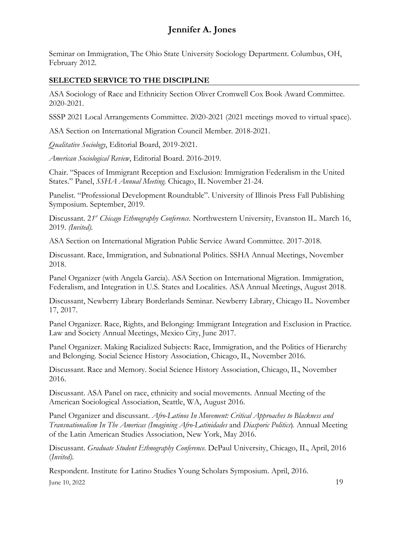Seminar on Immigration, The Ohio State University Sociology Department. Columbus, OH, February 2012.

### **SELECTED SERVICE TO THE DISCIPLINE**

ASA Sociology of Race and Ethnicity Section Oliver Cromwell Cox Book Award Committee. 2020-2021.

SSSP 2021 Local Arrangements Committee. 2020-2021 (2021 meetings moved to virtual space).

ASA Section on International Migration Council Member. 2018-2021.

*Qualitative Sociology*, Editorial Board, 2019-2021.

*American Sociological Review*, Editorial Board. 2016-2019.

Chair. "Spaces of Immigrant Reception and Exclusion: Immigration Federalism in the United States." Panel, *SSHA Annual Meeting.* Chicago, IL November 21-24.

Panelist. "Professional Development Roundtable". University of Illinois Press Fall Publishing Symposium. September, 2019.

Discussant. 21<sup>st</sup> *Chicago Ethnography Conference*. Northwestern University, Evanston IL. March 16, 2019. *(Invited).*

ASA Section on International Migration Public Service Award Committee. 2017-2018.

Discussant. Race, Immigration, and Subnational Politics. SSHA Annual Meetings, November 2018.

Panel Organizer (with Angela Garcia). ASA Section on International Migration. Immigration, Federalism, and Integration in U.S. States and Localities. ASA Annual Meetings, August 2018.

Discussant, Newberry Library Borderlands Seminar. Newberry Library, Chicago IL. November 17, 2017.

Panel Organizer. Race, Rights, and Belonging: Immigrant Integration and Exclusion in Practice. Law and Society Annual Meetings, Mexico City, June 2017.

Panel Organizer. Making Racialized Subjects: Race, Immigration, and the Politics of Hierarchy and Belonging. Social Science History Association, Chicago, IL, November 2016.

Discussant. Race and Memory. Social Science History Association, Chicago, IL, November 2016.

Discussant. ASA Panel on race, ethnicity and social movements. Annual Meeting of the American Sociological Association, Seattle, WA, August 2016.

Panel Organizer and discussant. *Afro-Latinos In Movement: Critical Approaches to Blackness and Transnationalism In The Americas (Imagining Afro-Latinidades* and *Diasporic Politics*). Annual Meeting of the Latin American Studies Association, New York, May 2016.

Discussant. *Graduate Student Ethnography Conference.* DePaul University, Chicago, IL, April, 2016 (*Invited).*

 $\mu$  June 10, 2022 19 Respondent. Institute for Latino Studies Young Scholars Symposium. April, 2016.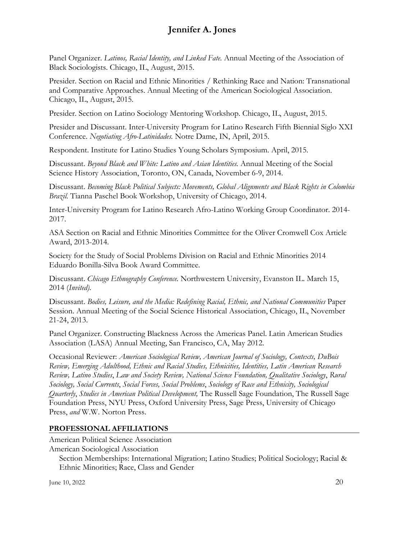Panel Organizer. *Latinos, Racial Identity, and Linked Fate.* Annual Meeting of the Association of Black Sociologists. Chicago, IL, August, 2015.

Presider. Section on Racial and Ethnic Minorities / Rethinking Race and Nation: Transnational and Comparative Approaches. Annual Meeting of the American Sociological Association. Chicago, IL, August, 2015.

Presider. Section on Latino Sociology Mentoring Workshop. Chicago, IL, August, 2015.

Presider and Discussant. Inter-University Program for Latino Research Fifth Biennial Siglo XXI Conference. *Negotiating Afro-Latinidades.* Notre Dame, IN, April, 2015.

Respondent. Institute for Latino Studies Young Scholars Symposium. April, 2015.

Discussant. *Beyond Black and White: Latino and Asian Identities.* Annual Meeting of the Social Science History Association, Toronto, ON, Canada, November 6-9, 2014.

Discussant. *Becoming Black Political Subjects: Movements, Global Alignments and Black Rights in Colombia Brazil.* Tianna Paschel Book Workshop, University of Chicago, 2014.

Inter-University Program for Latino Research Afro-Latino Working Group Coordinator. 2014- 2017.

ASA Section on Racial and Ethnic Minorities Committee for the Oliver Cromwell Cox Article Award, 2013-2014.

Society for the Study of Social Problems Division on Racial and Ethnic Minorities 2014 Eduardo Bonilla-Silva Book Award Committee.

Discussant. *Chicago Ethnography Conference.* Northwestern University, Evanston IL. March 15, 2014 (*Invited).*

Discussant. *Bodies, Leisure, and the Media: Redefining Racial, Ethnic, and National Communities* Paper Session. Annual Meeting of the Social Science Historical Association, Chicago, IL, November 21-24, 2013.

Panel Organizer. Constructing Blackness Across the Americas Panel. Latin American Studies Association (LASA) Annual Meeting, San Francisco, CA, May 2012.

Occasional Reviewer: *American Sociological Review, American Journal of Sociology, Contexts, DuBois Review, Emerging Adulthood, Ethnic and Racial Studies, Ethnicities, Identities, Latin American Research Review, Latino Studies*, *Law and Society Review, National Science Foundation, Qualitative Sociology*, *Rural Sociology, Social Currents*, *Social Forces, Social Problems*, *Sociology of Race and Ethnicity, Sociological Quarterly*, *Studies in American Political Development,* The Russell Sage Foundation, The Russell Sage Foundation Press, NYU Press, Oxford University Press, Sage Press, University of Chicago Press, *and* W.W. Norton Press.

## **PROFESSIONAL AFFILIATIONS**

American Political Science Association

American Sociological Association

Section Memberships: International Migration; Latino Studies; Political Sociology; Racial & Ethnic Minorities; Race, Class and Gender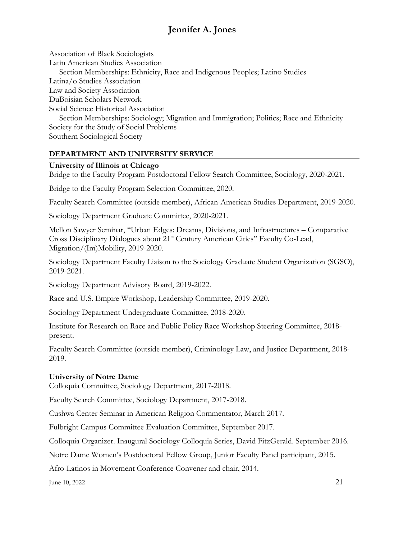Association of Black Sociologists Latin American Studies Association Section Memberships: Ethnicity, Race and Indigenous Peoples; Latino Studies Latina/o Studies Association Law and Society Association DuBoisian Scholars Network Social Science Historical Association Section Memberships: Sociology; Migration and Immigration; Politics; Race and Ethnicity Society for the Study of Social Problems

Southern Sociological Society

### **DEPARTMENT AND UNIVERSITY SERVICE**

#### **University of Illinois at Chicago**

Bridge to the Faculty Program Postdoctoral Fellow Search Committee, Sociology, 2020-2021.

Bridge to the Faculty Program Selection Committee, 2020.

Faculty Search Committee (outside member), African-American Studies Department, 2019-2020.

Sociology Department Graduate Committee, 2020-2021.

Mellon Sawyer Seminar, "Urban Edges: Dreams, Divisions, and Infrastructures – Comparative Cross Disciplinary Dialogues about 21<sup>st</sup> Century American Cities" Faculty Co-Lead, Migration/(Im)Mobility, 2019-2020.

Sociology Department Faculty Liaison to the Sociology Graduate Student Organization (SGSO), 2019-2021.

Sociology Department Advisory Board, 2019-2022.

Race and U.S. Empire Workshop, Leadership Committee, 2019-2020.

Sociology Department Undergraduate Committee, 2018-2020.

Institute for Research on Race and Public Policy Race Workshop Steering Committee, 2018 present.

Faculty Search Committee (outside member), Criminology Law, and Justice Department, 2018- 2019.

### **University of Notre Dame**

Colloquia Committee, Sociology Department, 2017-2018.

Faculty Search Committee, Sociology Department, 2017-2018.

Cushwa Center Seminar in American Religion Commentator, March 2017.

Fulbright Campus Committee Evaluation Committee, September 2017.

Colloquia Organizer. Inaugural Sociology Colloquia Series, David FitzGerald. September 2016.

Notre Dame Women's Postdoctoral Fellow Group, Junior Faculty Panel participant, 2015.

Afro-Latinos in Movement Conference Convener and chair, 2014.

June 10, 2022 21